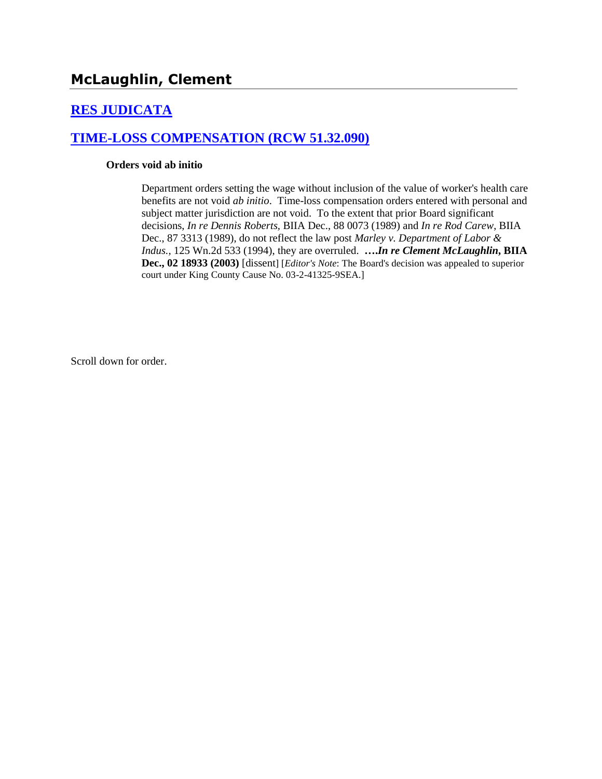# **[RES JUDICATA](http://www.biia.wa.gov/SDSubjectIndex.html#RES_JUDICATA)**

## **[TIME-LOSS COMPENSATION \(RCW 51.32.090\)](http://www.biia.wa.gov/SDSubjectIndex.html#TIME_LOSS_COMPENSATION)**

#### **Orders void ab initio**

Department orders setting the wage without inclusion of the value of worker's health care benefits are not void *ab initio*. Time-loss compensation orders entered with personal and subject matter jurisdiction are not void. To the extent that prior Board significant decisions, *In re Dennis Roberts,* BIIA Dec., 88 0073 (1989) and *In re Rod Carew*, BIIA Dec., 87 3313 (1989), do not reflect the law post *Marley v. Department of Labor & Indus.,* 125 Wn.2d 533 (1994), they are overruled. **….***In re Clement McLaughlin***, BIIA Dec., 02 18933 (2003)** [dissent] [*Editor's Note*: The Board's decision was appealed to superior court under King County Cause No. 03-2-41325-9SEA.]

Scroll down for order.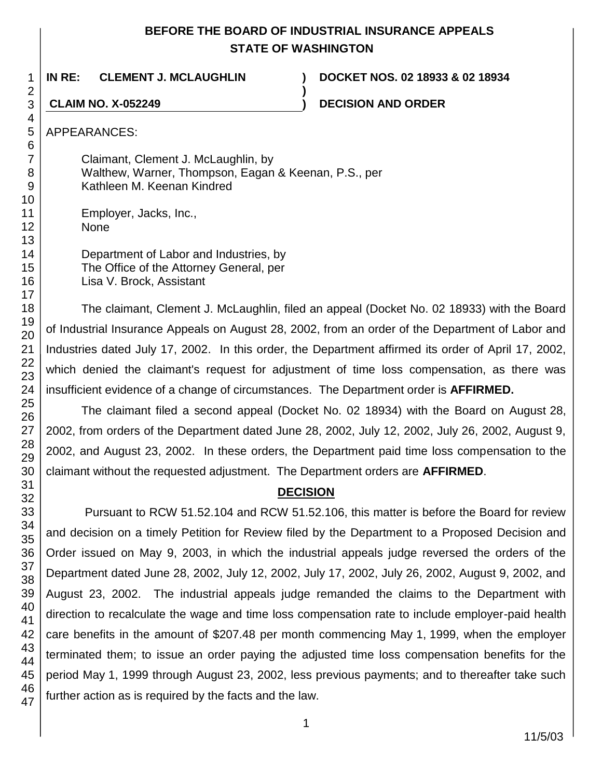## **BEFORE THE BOARD OF INDUSTRIAL INSURANCE APPEALS STATE OF WASHINGTON**

**)**

**IN RE: CLEMENT J. MCLAUGHLIN ) DOCKET NOS. 02 18933 & 02 18934**

**CLAIM NO. X-052249 ) DECISION AND ORDER**

47

APPEARANCES:

Claimant, Clement J. McLaughlin, by Walthew, Warner, Thompson, Eagan & Keenan, P.S., per Kathleen M. Keenan Kindred

Employer, Jacks, Inc., None

Department of Labor and Industries, by The Office of the Attorney General, per Lisa V. Brock, Assistant

The claimant, Clement J. McLaughlin, filed an appeal (Docket No. 02 18933) with the Board of Industrial Insurance Appeals on August 28, 2002, from an order of the Department of Labor and Industries dated July 17, 2002. In this order, the Department affirmed its order of April 17, 2002, which denied the claimant's request for adjustment of time loss compensation, as there was insufficient evidence of a change of circumstances. The Department order is **AFFIRMED.**

The claimant filed a second appeal (Docket No. 02 18934) with the Board on August 28, 2002, from orders of the Department dated June 28, 2002, July 12, 2002, July 26, 2002, August 9, 2002, and August 23, 2002. In these orders, the Department paid time loss compensation to the claimant without the requested adjustment. The Department orders are **AFFIRMED**.

# **DECISION**

Pursuant to RCW 51.52.104 and RCW 51.52.106, this matter is before the Board for review and decision on a timely Petition for Review filed by the Department to a Proposed Decision and Order issued on May 9, 2003, in which the industrial appeals judge reversed the orders of the Department dated June 28, 2002, July 12, 2002, July 17, 2002, July 26, 2002, August 9, 2002, and August 23, 2002. The industrial appeals judge remanded the claims to the Department with direction to recalculate the wage and time loss compensation rate to include employer-paid health care benefits in the amount of \$207.48 per month commencing May 1, 1999, when the employer terminated them; to issue an order paying the adjusted time loss compensation benefits for the period May 1, 1999 through August 23, 2002, less previous payments; and to thereafter take such further action as is required by the facts and the law.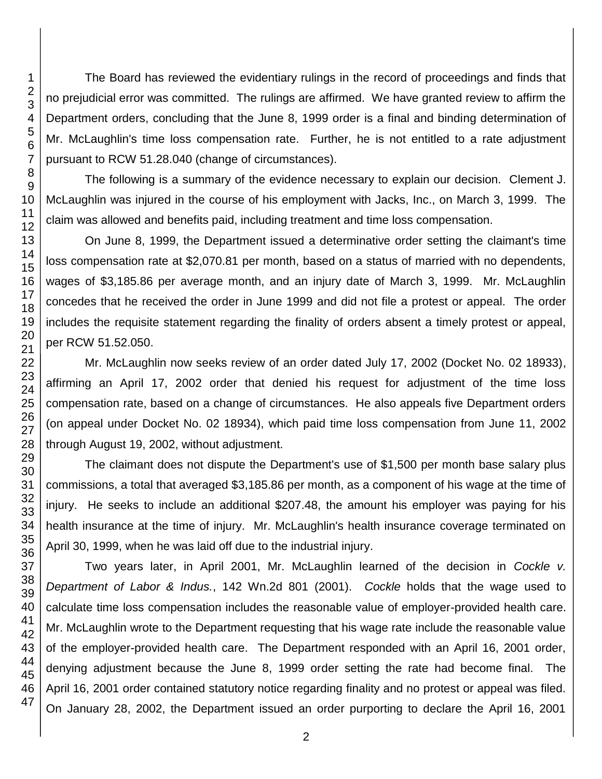The Board has reviewed the evidentiary rulings in the record of proceedings and finds that no prejudicial error was committed. The rulings are affirmed. We have granted review to affirm the Department orders, concluding that the June 8, 1999 order is a final and binding determination of Mr. McLaughlin's time loss compensation rate. Further, he is not entitled to a rate adjustment pursuant to RCW 51.28.040 (change of circumstances).

The following is a summary of the evidence necessary to explain our decision. Clement J. McLaughlin was injured in the course of his employment with Jacks, Inc., on March 3, 1999. The claim was allowed and benefits paid, including treatment and time loss compensation.

On June 8, 1999, the Department issued a determinative order setting the claimant's time loss compensation rate at \$2,070.81 per month, based on a status of married with no dependents, wages of \$3,185.86 per average month, and an injury date of March 3, 1999. Mr. McLaughlin concedes that he received the order in June 1999 and did not file a protest or appeal. The order includes the requisite statement regarding the finality of orders absent a timely protest or appeal, per RCW 51.52.050.

Mr. McLaughlin now seeks review of an order dated July 17, 2002 (Docket No. 02 18933), affirming an April 17, 2002 order that denied his request for adjustment of the time loss compensation rate, based on a change of circumstances. He also appeals five Department orders (on appeal under Docket No. 02 18934), which paid time loss compensation from June 11, 2002 through August 19, 2002, without adjustment.

The claimant does not dispute the Department's use of \$1,500 per month base salary plus commissions, a total that averaged \$3,185.86 per month, as a component of his wage at the time of injury. He seeks to include an additional \$207.48, the amount his employer was paying for his health insurance at the time of injury. Mr. McLaughlin's health insurance coverage terminated on April 30, 1999, when he was laid off due to the industrial injury.

Two years later, in April 2001, Mr. McLaughlin learned of the decision in *Cockle v. Department of Labor & Indus.*, 142 Wn.2d 801 (2001). *Cockle* holds that the wage used to calculate time loss compensation includes the reasonable value of employer-provided health care. Mr. McLaughlin wrote to the Department requesting that his wage rate include the reasonable value of the employer-provided health care. The Department responded with an April 16, 2001 order, denying adjustment because the June 8, 1999 order setting the rate had become final. The April 16, 2001 order contained statutory notice regarding finality and no protest or appeal was filed. On January 28, 2002, the Department issued an order purporting to declare the April 16, 2001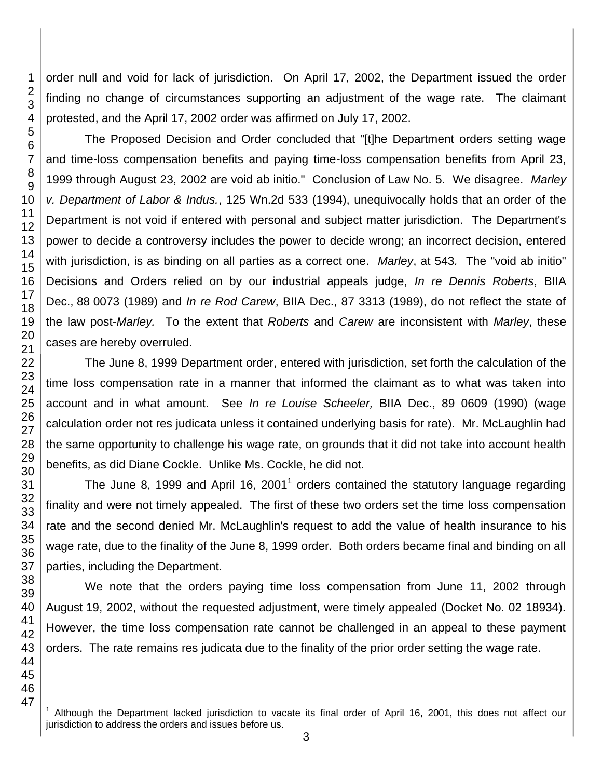order null and void for lack of jurisdiction. On April 17, 2002, the Department issued the order finding no change of circumstances supporting an adjustment of the wage rate. The claimant protested, and the April 17, 2002 order was affirmed on July 17, 2002.

The Proposed Decision and Order concluded that "[t]he Department orders setting wage and time-loss compensation benefits and paying time-loss compensation benefits from April 23, 1999 through August 23, 2002 are void ab initio." Conclusion of Law No. 5. We disagree. *Marley v. Department of Labor & Indus.*, 125 Wn.2d 533 (1994), unequivocally holds that an order of the Department is not void if entered with personal and subject matter jurisdiction. The Department's power to decide a controversy includes the power to decide wrong; an incorrect decision, entered with jurisdiction, is as binding on all parties as a correct one. *Marley*, at 543*.* The "void ab initio" Decisions and Orders relied on by our industrial appeals judge, *In re Dennis Roberts*, BIIA Dec., 88 0073 (1989) and *In re Rod Carew*, BIIA Dec., 87 3313 (1989), do not reflect the state of the law post-*Marley.* To the extent that *Roberts* and *Carew* are inconsistent with *Marley*, these cases are hereby overruled.

The June 8, 1999 Department order, entered with jurisdiction, set forth the calculation of the time loss compensation rate in a manner that informed the claimant as to what was taken into account and in what amount. See *In re Louise Scheeler,* BIIA Dec., 89 0609 (1990) (wage calculation order not res judicata unless it contained underlying basis for rate). Mr. McLaughlin had the same opportunity to challenge his wage rate, on grounds that it did not take into account health benefits, as did Diane Cockle. Unlike Ms. Cockle, he did not.

The June 8, 1999 and April 16, 2001<sup>1</sup> orders contained the statutory language regarding finality and were not timely appealed. The first of these two orders set the time loss compensation rate and the second denied Mr. McLaughlin's request to add the value of health insurance to his wage rate, due to the finality of the June 8, 1999 order. Both orders became final and binding on all parties, including the Department.

We note that the orders paying time loss compensation from June 11, 2002 through August 19, 2002, without the requested adjustment, were timely appealed (Docket No. 02 18934). However, the time loss compensation rate cannot be challenged in an appeal to these payment orders. The rate remains res judicata due to the finality of the prior order setting the wage rate.

l

 Although the Department lacked jurisdiction to vacate its final order of April 16, 2001, this does not affect our jurisdiction to address the orders and issues before us.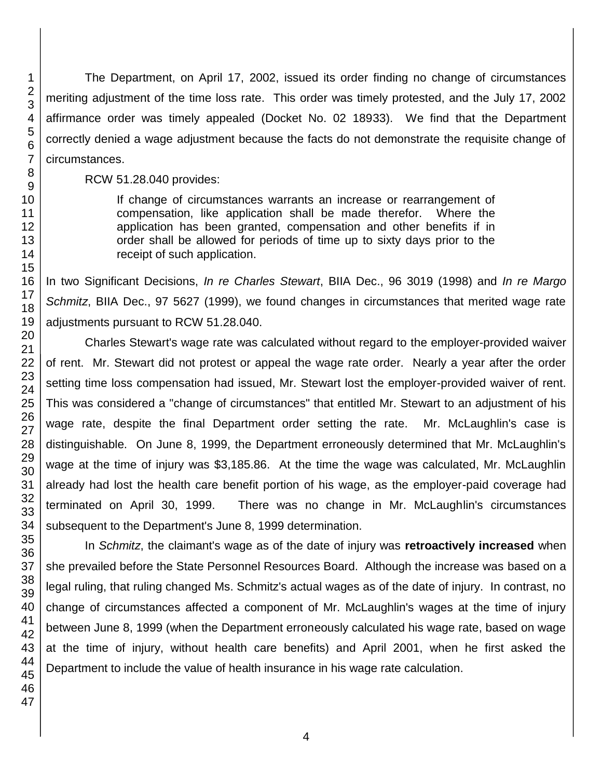The Department, on April 17, 2002, issued its order finding no change of circumstances meriting adjustment of the time loss rate. This order was timely protested, and the July 17, 2002 affirmance order was timely appealed (Docket No. 02 18933). We find that the Department correctly denied a wage adjustment because the facts do not demonstrate the requisite change of circumstances.

RCW 51.28.040 provides:

If change of circumstances warrants an increase or rearrangement of compensation, like application shall be made therefor. Where the application has been granted, compensation and other benefits if in order shall be allowed for periods of time up to sixty days prior to the receipt of such application.

In two Significant Decisions, *In re Charles Stewart*, BIIA Dec., 96 3019 (1998) and *In re Margo Schmitz*, BIIA Dec., 97 5627 (1999), we found changes in circumstances that merited wage rate adjustments pursuant to RCW 51.28.040.

Charles Stewart's wage rate was calculated without regard to the employer-provided waiver of rent. Mr. Stewart did not protest or appeal the wage rate order. Nearly a year after the order setting time loss compensation had issued, Mr. Stewart lost the employer-provided waiver of rent. This was considered a "change of circumstances" that entitled Mr. Stewart to an adjustment of his wage rate, despite the final Department order setting the rate. Mr. McLaughlin's case is distinguishable. On June 8, 1999, the Department erroneously determined that Mr. McLaughlin's wage at the time of injury was \$3,185.86. At the time the wage was calculated, Mr. McLaughlin already had lost the health care benefit portion of his wage, as the employer-paid coverage had terminated on April 30, 1999. There was no change in Mr. McLaughlin's circumstances subsequent to the Department's June 8, 1999 determination.

In *Schmitz*, the claimant's wage as of the date of injury was **retroactively increased** when she prevailed before the State Personnel Resources Board. Although the increase was based on a legal ruling, that ruling changed Ms. Schmitz's actual wages as of the date of injury. In contrast, no change of circumstances affected a component of Mr. McLaughlin's wages at the time of injury between June 8, 1999 (when the Department erroneously calculated his wage rate, based on wage at the time of injury, without health care benefits) and April 2001, when he first asked the Department to include the value of health insurance in his wage rate calculation.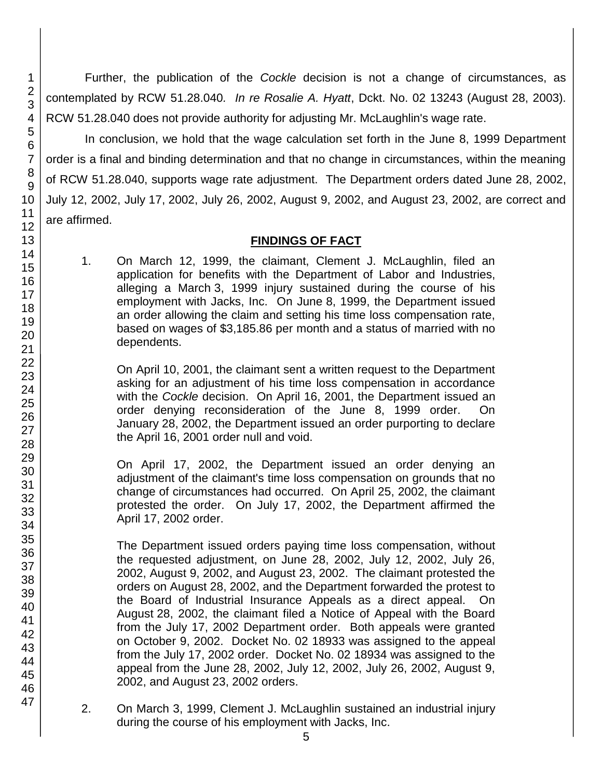Further, the publication of the *Cockle* decision is not a change of circumstances, as contemplated by RCW 51.28.040*. In re Rosalie A. Hyatt*, Dckt. No. 02 13243 (August 28, 2003). RCW 51.28.040 does not provide authority for adjusting Mr. McLaughlin's wage rate.

In conclusion, we hold that the wage calculation set forth in the June 8, 1999 Department order is a final and binding determination and that no change in circumstances, within the meaning of RCW 51.28.040, supports wage rate adjustment. The Department orders dated June 28, 2002, July 12, 2002, July 17, 2002, July 26, 2002, August 9, 2002, and August 23, 2002, are correct and are affirmed.

## **FINDINGS OF FACT**

1. On March 12, 1999, the claimant, Clement J. McLaughlin, filed an application for benefits with the Department of Labor and Industries, alleging a March 3, 1999 injury sustained during the course of his employment with Jacks, Inc. On June 8, 1999, the Department issued an order allowing the claim and setting his time loss compensation rate, based on wages of \$3,185.86 per month and a status of married with no dependents.

On April 10, 2001, the claimant sent a written request to the Department asking for an adjustment of his time loss compensation in accordance with the *Cockle* decision. On April 16, 2001, the Department issued an order denying reconsideration of the June 8, 1999 order. On January 28, 2002, the Department issued an order purporting to declare the April 16, 2001 order null and void.

On April 17, 2002, the Department issued an order denying an adjustment of the claimant's time loss compensation on grounds that no change of circumstances had occurred. On April 25, 2002, the claimant protested the order. On July 17, 2002, the Department affirmed the April 17, 2002 order.

The Department issued orders paying time loss compensation, without the requested adjustment, on June 28, 2002, July 12, 2002, July 26, 2002, August 9, 2002, and August 23, 2002. The claimant protested the orders on August 28, 2002, and the Department forwarded the protest to the Board of Industrial Insurance Appeals as a direct appeal. On August 28, 2002, the claimant filed a Notice of Appeal with the Board from the July 17, 2002 Department order. Both appeals were granted on October 9, 2002. Docket No. 02 18933 was assigned to the appeal from the July 17, 2002 order. Docket No. 02 18934 was assigned to the appeal from the June 28, 2002, July 12, 2002, July 26, 2002, August 9, 2002, and August 23, 2002 orders.

2. On March 3, 1999, Clement J. McLaughlin sustained an industrial injury during the course of his employment with Jacks, Inc.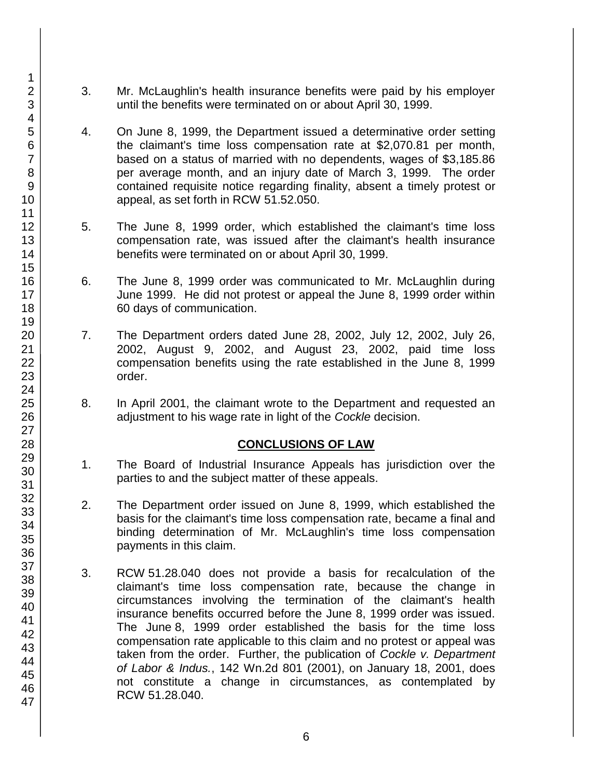- 3. Mr. McLaughlin's health insurance benefits were paid by his employer until the benefits were terminated on or about April 30, 1999.
- 4. On June 8, 1999, the Department issued a determinative order setting the claimant's time loss compensation rate at \$2,070.81 per month, based on a status of married with no dependents, wages of \$3,185.86 per average month, and an injury date of March 3, 1999. The order contained requisite notice regarding finality, absent a timely protest or appeal, as set forth in RCW 51.52.050.
- 5. The June 8, 1999 order, which established the claimant's time loss compensation rate, was issued after the claimant's health insurance benefits were terminated on or about April 30, 1999.
- 6. The June 8, 1999 order was communicated to Mr. McLaughlin during June 1999. He did not protest or appeal the June 8, 1999 order within 60 days of communication.
- 7. The Department orders dated June 28, 2002, July 12, 2002, July 26, 2002, August 9, 2002, and August 23, 2002, paid time loss compensation benefits using the rate established in the June 8, 1999 order.
- 8. In April 2001, the claimant wrote to the Department and requested an adjustment to his wage rate in light of the *Cockle* decision.

## **CONCLUSIONS OF LAW**

- 1. The Board of Industrial Insurance Appeals has jurisdiction over the parties to and the subject matter of these appeals.
- 2. The Department order issued on June 8, 1999, which established the basis for the claimant's time loss compensation rate, became a final and binding determination of Mr. McLaughlin's time loss compensation payments in this claim.
- 3. RCW 51.28.040 does not provide a basis for recalculation of the claimant's time loss compensation rate, because the change in circumstances involving the termination of the claimant's health insurance benefits occurred before the June 8, 1999 order was issued. The June 8, 1999 order established the basis for the time loss compensation rate applicable to this claim and no protest or appeal was taken from the order. Further, the publication of *Cockle v. Department of Labor & Indus.*, 142 Wn.2d 801 (2001), on January 18, 2001, does not constitute a change in circumstances, as contemplated by RCW 51.28.040.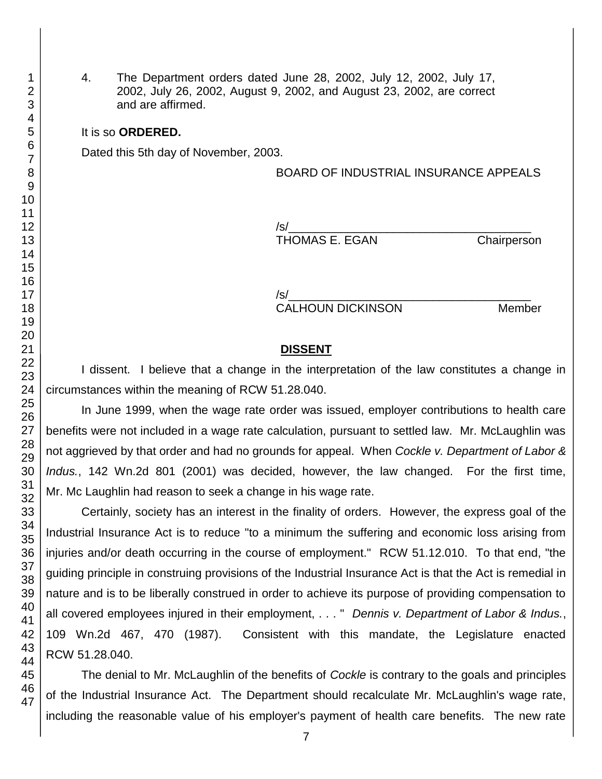4. The Department orders dated June 28, 2002, July 12, 2002, July 17, 2002, July 26, 2002, August 9, 2002, and August 23, 2002, are correct and are affirmed.

#### It is so **ORDERED.**

Dated this 5th day of November, 2003.

#### BOARD OF INDUSTRIAL INSURANCE APPEALS

/s/\_\_\_\_\_\_\_\_\_\_\_\_\_\_\_\_\_\_\_\_\_\_\_\_\_\_\_\_\_\_\_\_\_\_\_\_\_ THOMAS E. EGAN Chairperson

/s/\_\_\_\_\_\_\_\_\_\_\_\_\_\_\_\_\_\_\_\_\_\_\_\_\_\_\_\_\_\_\_\_\_\_\_\_\_ CALHOUN DICKINSON Member

### **DISSENT**

I dissent. I believe that a change in the interpretation of the law constitutes a change in circumstances within the meaning of RCW 51.28.040.

In June 1999, when the wage rate order was issued, employer contributions to health care benefits were not included in a wage rate calculation, pursuant to settled law. Mr. McLaughlin was not aggrieved by that order and had no grounds for appeal. When *Cockle v. Department of Labor & Indus.*, 142 Wn.2d 801 (2001) was decided, however, the law changed. For the first time, Mr. Mc Laughlin had reason to seek a change in his wage rate.

Certainly, society has an interest in the finality of orders. However, the express goal of the Industrial Insurance Act is to reduce "to a minimum the suffering and economic loss arising from injuries and/or death occurring in the course of employment." RCW 51.12.010. To that end, "the guiding principle in construing provisions of the Industrial Insurance Act is that the Act is remedial in nature and is to be liberally construed in order to achieve its purpose of providing compensation to all covered employees injured in their employment, . . . " *Dennis v. Department of Labor & Indus.*, 109 Wn.2d 467, 470 (1987). Consistent with this mandate, the Legislature enacted RCW 51.28.040.

The denial to Mr. McLaughlin of the benefits of *Cockle* is contrary to the goals and principles of the Industrial Insurance Act. The Department should recalculate Mr. McLaughlin's wage rate, including the reasonable value of his employer's payment of health care benefits. The new rate